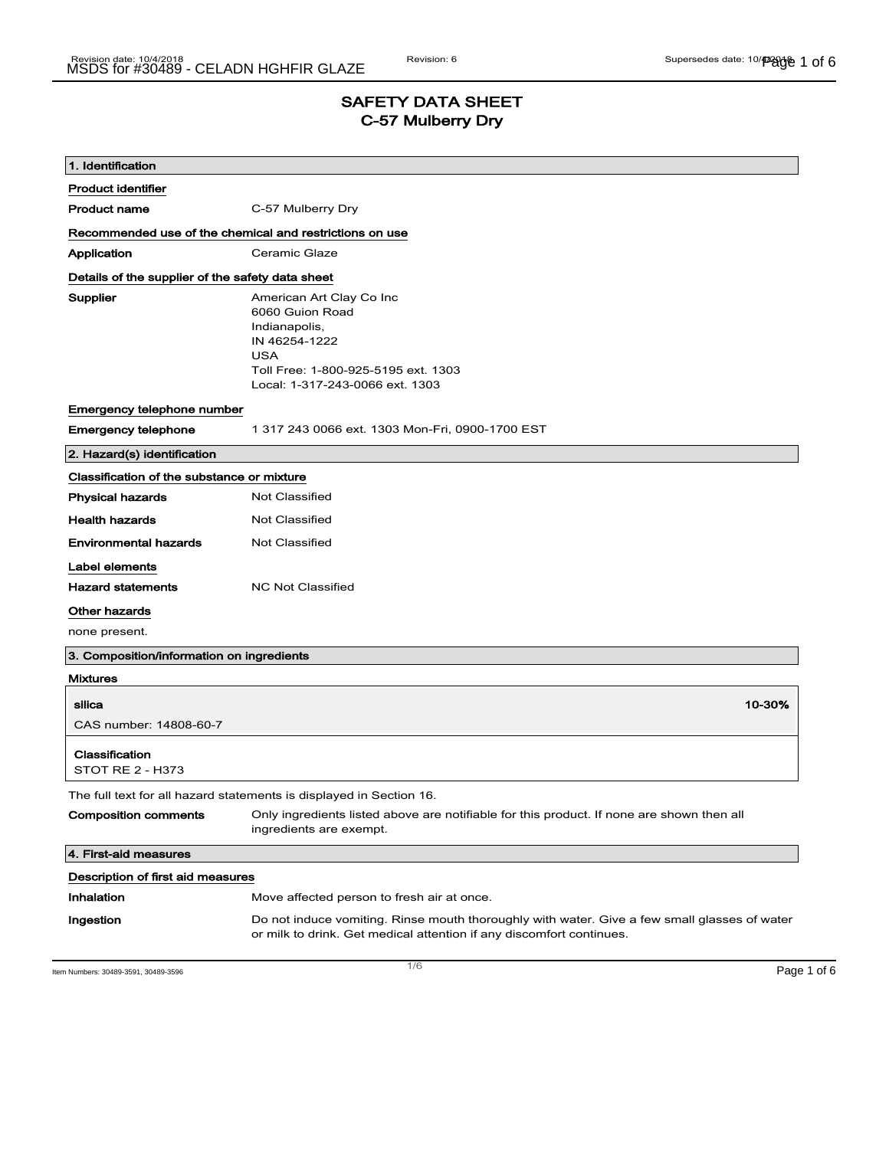### SAFETY DATA SHEET C-57 Mulberry Dry

| 1. Identification                                |                                                                                                                                                                       |  |  |
|--------------------------------------------------|-----------------------------------------------------------------------------------------------------------------------------------------------------------------------|--|--|
| <b>Product identifier</b>                        |                                                                                                                                                                       |  |  |
| <b>Product name</b>                              | C-57 Mulberry Dry                                                                                                                                                     |  |  |
|                                                  | Recommended use of the chemical and restrictions on use                                                                                                               |  |  |
| Application                                      | Ceramic Glaze                                                                                                                                                         |  |  |
| Details of the supplier of the safety data sheet |                                                                                                                                                                       |  |  |
| Supplier                                         | American Art Clay Co Inc<br>6060 Guion Road<br>Indianapolis,<br>IN 46254-1222<br><b>USA</b><br>Toll Free: 1-800-925-5195 ext. 1303<br>Local: 1-317-243-0066 ext. 1303 |  |  |
| Emergency telephone number                       |                                                                                                                                                                       |  |  |
| <b>Emergency telephone</b>                       | 1 317 243 0066 ext. 1303 Mon-Fri, 0900-1700 EST                                                                                                                       |  |  |
| 2. Hazard(s) identification                      |                                                                                                                                                                       |  |  |
| Classification of the substance or mixture       |                                                                                                                                                                       |  |  |
| <b>Physical hazards</b>                          | Not Classified                                                                                                                                                        |  |  |
| <b>Health hazards</b>                            | <b>Not Classified</b>                                                                                                                                                 |  |  |
| <b>Environmental hazards</b>                     | Not Classified                                                                                                                                                        |  |  |
| Label elements                                   |                                                                                                                                                                       |  |  |
| <b>Hazard statements</b>                         | <b>NC Not Classified</b>                                                                                                                                              |  |  |
| Other hazards                                    |                                                                                                                                                                       |  |  |
| none present.                                    |                                                                                                                                                                       |  |  |
| 3. Composition/information on ingredients        |                                                                                                                                                                       |  |  |
| <b>Mixtures</b>                                  |                                                                                                                                                                       |  |  |
| silica                                           | 10-30%                                                                                                                                                                |  |  |
| CAS number: 14808-60-7                           |                                                                                                                                                                       |  |  |
| Classification<br>STOT RE 2 - H373               |                                                                                                                                                                       |  |  |
|                                                  | The full text for all hazard statements is displayed in Section 16.                                                                                                   |  |  |
| <b>Composition comments</b>                      | Only ingredients listed above are notifiable for this product. If none are shown then all<br>ingredients are exempt.                                                  |  |  |
| 4. First-aid measures                            |                                                                                                                                                                       |  |  |
| Description of first aid measures                |                                                                                                                                                                       |  |  |
| Inhalation                                       | Move affected person to fresh air at once.                                                                                                                            |  |  |
| Ingestion                                        | Do not induce vomiting. Rinse mouth thoroughly with water. Give a few small glasses of water<br>or milk to drink. Get medical attention if any discomfort continues.  |  |  |

Item Numbers: 30489-3591, 30489-3596 **Page 1 of 6**  $\overline{1/6}$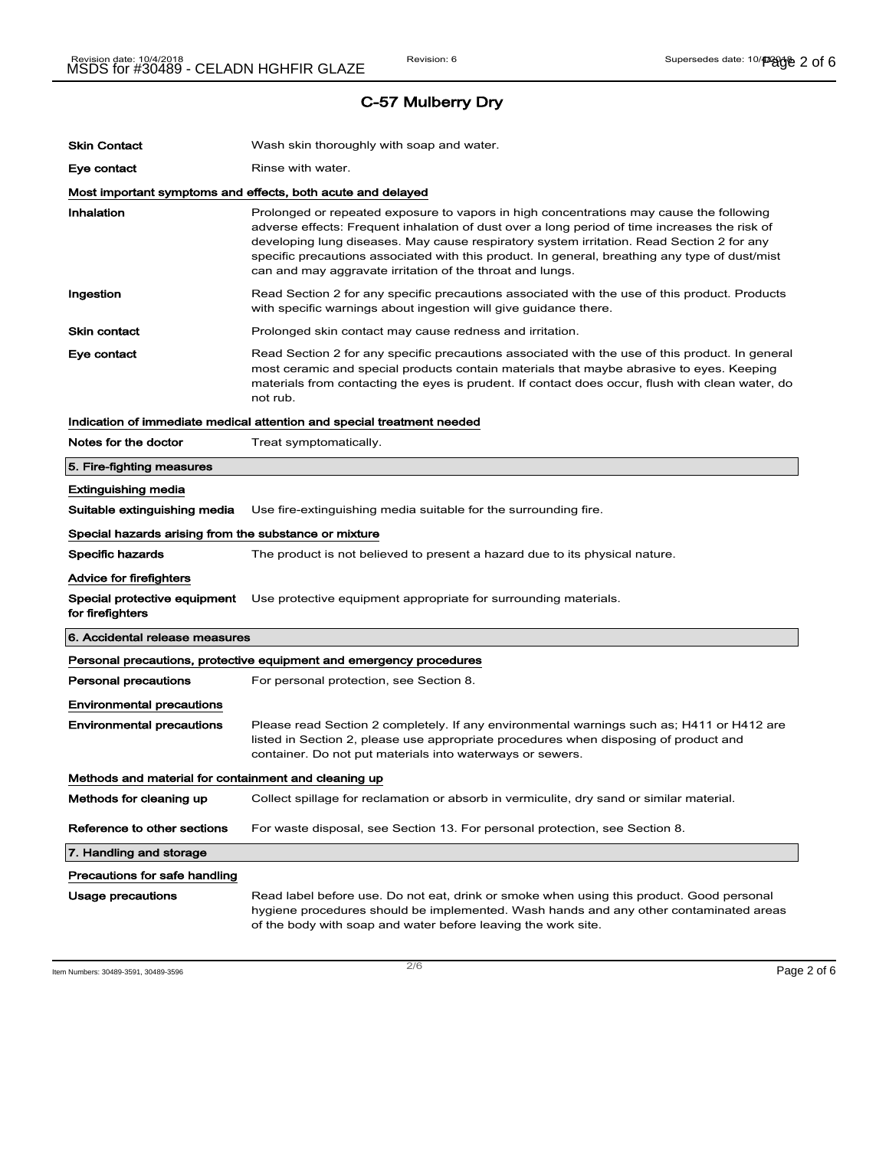| <b>Skin Contact</b>                                   | Wash skin thoroughly with soap and water.                                                                                                                                                                                                                                                                                                                                                                                                            |
|-------------------------------------------------------|------------------------------------------------------------------------------------------------------------------------------------------------------------------------------------------------------------------------------------------------------------------------------------------------------------------------------------------------------------------------------------------------------------------------------------------------------|
| Eye contact                                           | Rinse with water.                                                                                                                                                                                                                                                                                                                                                                                                                                    |
|                                                       | Most important symptoms and effects, both acute and delayed                                                                                                                                                                                                                                                                                                                                                                                          |
| Inhalation                                            | Prolonged or repeated exposure to vapors in high concentrations may cause the following<br>adverse effects: Frequent inhalation of dust over a long period of time increases the risk of<br>developing lung diseases. May cause respiratory system irritation. Read Section 2 for any<br>specific precautions associated with this product. In general, breathing any type of dust/mist<br>can and may aggravate irritation of the throat and lungs. |
| Ingestion                                             | Read Section 2 for any specific precautions associated with the use of this product. Products<br>with specific warnings about ingestion will give guidance there.                                                                                                                                                                                                                                                                                    |
| <b>Skin contact</b>                                   | Prolonged skin contact may cause redness and irritation.                                                                                                                                                                                                                                                                                                                                                                                             |
| Eye contact                                           | Read Section 2 for any specific precautions associated with the use of this product. In general<br>most ceramic and special products contain materials that maybe abrasive to eyes. Keeping<br>materials from contacting the eyes is prudent. If contact does occur, flush with clean water, do<br>not rub.                                                                                                                                          |
|                                                       | Indication of immediate medical attention and special treatment needed                                                                                                                                                                                                                                                                                                                                                                               |
| Notes for the doctor                                  | Treat symptomatically.                                                                                                                                                                                                                                                                                                                                                                                                                               |
| 5. Fire-fighting measures                             |                                                                                                                                                                                                                                                                                                                                                                                                                                                      |
| Extinguishing media                                   |                                                                                                                                                                                                                                                                                                                                                                                                                                                      |
| Suitable extinguishing media                          | Use fire-extinguishing media suitable for the surrounding fire.                                                                                                                                                                                                                                                                                                                                                                                      |
| Special hazards arising from the substance or mixture |                                                                                                                                                                                                                                                                                                                                                                                                                                                      |
| Specific hazards                                      | The product is not believed to present a hazard due to its physical nature.                                                                                                                                                                                                                                                                                                                                                                          |
| Advice for firefighters                               |                                                                                                                                                                                                                                                                                                                                                                                                                                                      |
| Special protective equipment<br>for firefighters      | Use protective equipment appropriate for surrounding materials.                                                                                                                                                                                                                                                                                                                                                                                      |
| 6. Accidental release measures                        |                                                                                                                                                                                                                                                                                                                                                                                                                                                      |
|                                                       | Personal precautions, protective equipment and emergency procedures                                                                                                                                                                                                                                                                                                                                                                                  |
| <b>Personal precautions</b>                           | For personal protection, see Section 8.                                                                                                                                                                                                                                                                                                                                                                                                              |
| <b>Environmental precautions</b>                      |                                                                                                                                                                                                                                                                                                                                                                                                                                                      |
| <b>Environmental precautions</b>                      | Please read Section 2 completely. If any environmental warnings such as; H411 or H412 are<br>listed in Section 2, please use appropriate procedures when disposing of product and<br>container. Do not put materials into waterways or sewers.                                                                                                                                                                                                       |
| Methods and material for containment and cleaning up  |                                                                                                                                                                                                                                                                                                                                                                                                                                                      |
| Methods for cleaning up                               | Collect spillage for reclamation or absorb in vermiculite, dry sand or similar material.                                                                                                                                                                                                                                                                                                                                                             |
| Reference to other sections                           | For waste disposal, see Section 13. For personal protection, see Section 8.                                                                                                                                                                                                                                                                                                                                                                          |
| 7. Handling and storage                               |                                                                                                                                                                                                                                                                                                                                                                                                                                                      |
| Precautions for safe handling                         |                                                                                                                                                                                                                                                                                                                                                                                                                                                      |
| Usage precautions                                     | Read label before use. Do not eat, drink or smoke when using this product. Good personal<br>hygiene procedures should be implemented. Wash hands and any other contaminated areas<br>of the body with soap and water before leaving the work site.                                                                                                                                                                                                   |

Item Numbers: 30489-3591, 30489-3596  $P$ age 2 of 6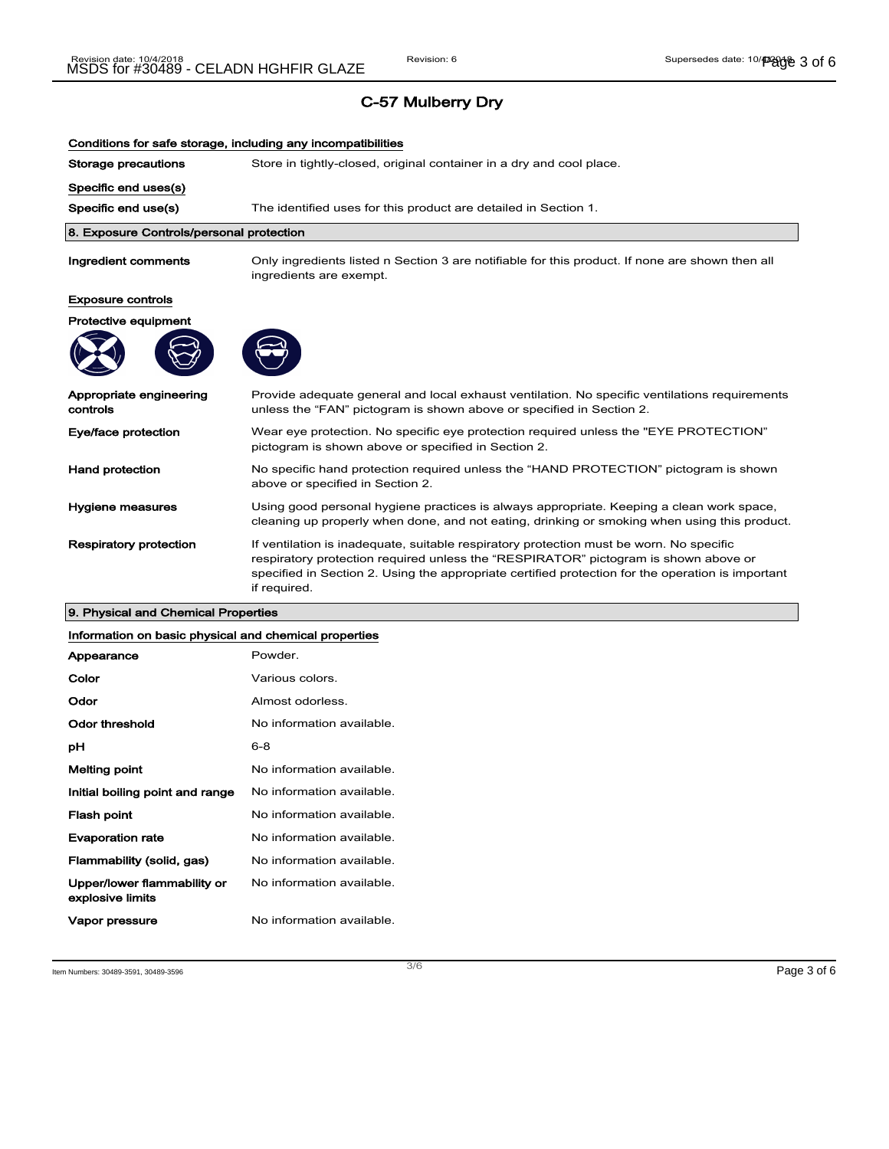| Conditions for safe storage, including any incompatibilities |                                                                                                                                                                                                                                                                                                     |  |
|--------------------------------------------------------------|-----------------------------------------------------------------------------------------------------------------------------------------------------------------------------------------------------------------------------------------------------------------------------------------------------|--|
| Storage precautions                                          | Store in tightly-closed, original container in a dry and cool place.                                                                                                                                                                                                                                |  |
| Specific end uses(s)                                         |                                                                                                                                                                                                                                                                                                     |  |
| Specific end use(s)                                          | The identified uses for this product are detailed in Section 1.                                                                                                                                                                                                                                     |  |
| 8. Exposure Controls/personal protection                     |                                                                                                                                                                                                                                                                                                     |  |
| Ingredient comments                                          | Only ingredients listed n Section 3 are notifiable for this product. If none are shown then all<br>ingredients are exempt.                                                                                                                                                                          |  |
| <b>Exposure controls</b>                                     |                                                                                                                                                                                                                                                                                                     |  |
| Protective equipment                                         |                                                                                                                                                                                                                                                                                                     |  |
|                                                              |                                                                                                                                                                                                                                                                                                     |  |
| Appropriate engineering<br>controls                          | Provide adequate general and local exhaust ventilation. No specific ventilations requirements<br>unless the "FAN" pictogram is shown above or specified in Section 2.                                                                                                                               |  |
| Eye/face protection                                          | Wear eye protection. No specific eye protection required unless the "EYE PROTECTION"<br>pictogram is shown above or specified in Section 2.                                                                                                                                                         |  |
| <b>Hand protection</b>                                       | No specific hand protection required unless the "HAND PROTECTION" pictogram is shown<br>above or specified in Section 2.                                                                                                                                                                            |  |
| <b>Hygiene measures</b>                                      | Using good personal hygiene practices is always appropriate. Keeping a clean work space,<br>cleaning up properly when done, and not eating, drinking or smoking when using this product.                                                                                                            |  |
| <b>Respiratory protection</b>                                | If ventilation is inadequate, suitable respiratory protection must be worn. No specific<br>respiratory protection required unless the "RESPIRATOR" pictogram is shown above or<br>specified in Section 2. Using the appropriate certified protection for the operation is important<br>if required. |  |

### 9. Physical and Chemical Properties

#### Information on basic physical and chemical properties

| Appearance                                      | Powder.                   |
|-------------------------------------------------|---------------------------|
| Color                                           | Various colors.           |
| Odor                                            | Almost odorless.          |
| Odor threshold                                  | No information available. |
| рH                                              | $6 - 8$                   |
| <b>Melting point</b>                            | No information available. |
| Initial boiling point and range                 | No information available. |
| Flash point                                     | No information available. |
| <b>Evaporation rate</b>                         | No information available. |
| Flammability (solid, gas)                       | No information available. |
| Upper/lower flammability or<br>explosive limits | No information available. |
| Vapor pressure                                  | No information available. |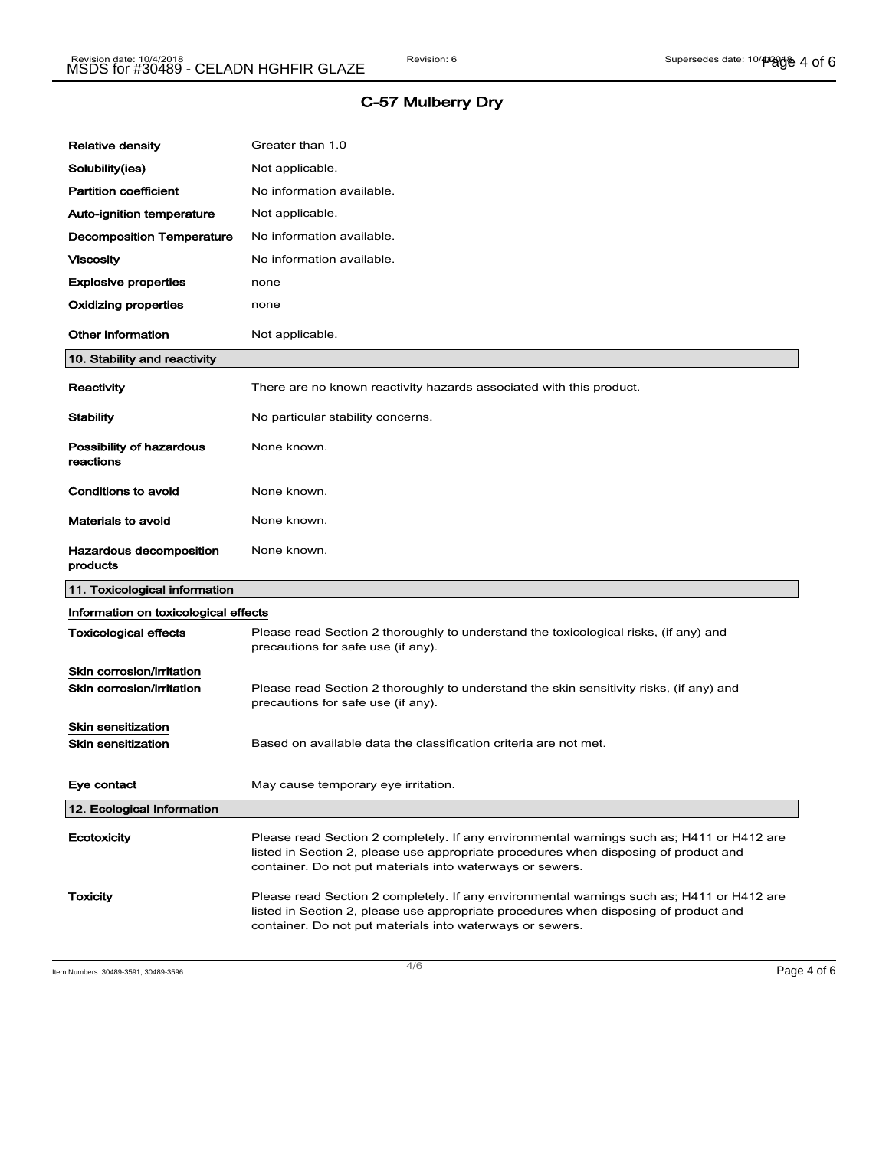| <b>Relative density</b>                                | Greater than 1.0                                                                                                                                                                                                                               |
|--------------------------------------------------------|------------------------------------------------------------------------------------------------------------------------------------------------------------------------------------------------------------------------------------------------|
| Solubility(ies)                                        | Not applicable.                                                                                                                                                                                                                                |
| <b>Partition coefficient</b>                           | No information available.                                                                                                                                                                                                                      |
| Auto-ignition temperature                              | Not applicable.                                                                                                                                                                                                                                |
| <b>Decomposition Temperature</b>                       | No information available.                                                                                                                                                                                                                      |
| Viscosity                                              | No information available.                                                                                                                                                                                                                      |
| <b>Explosive properties</b>                            | none                                                                                                                                                                                                                                           |
| Oxidizing properties                                   | none                                                                                                                                                                                                                                           |
| <b>Other information</b>                               | Not applicable.                                                                                                                                                                                                                                |
| 10. Stability and reactivity                           |                                                                                                                                                                                                                                                |
| Reactivity                                             | There are no known reactivity hazards associated with this product.                                                                                                                                                                            |
| <b>Stability</b>                                       | No particular stability concerns.                                                                                                                                                                                                              |
| Possibility of hazardous<br>reactions                  | None known.                                                                                                                                                                                                                                    |
| <b>Conditions to avoid</b>                             | None known.                                                                                                                                                                                                                                    |
| <b>Materials to avoid</b>                              | None known.                                                                                                                                                                                                                                    |
| Hazardous decomposition<br>products                    | None known.                                                                                                                                                                                                                                    |
| 11. Toxicological information                          |                                                                                                                                                                                                                                                |
| Information on toxicological effects                   |                                                                                                                                                                                                                                                |
| <b>Toxicological effects</b>                           | Please read Section 2 thoroughly to understand the toxicological risks, (if any) and<br>precautions for safe use (if any).                                                                                                                     |
| Skin corrosion/irritation<br>Skin corrosion/irritation | Please read Section 2 thoroughly to understand the skin sensitivity risks, (if any) and<br>precautions for safe use (if any).                                                                                                                  |
| Skin sensitization<br><b>Skin sensitization</b>        | Based on available data the classification criteria are not met.                                                                                                                                                                               |
| Eye contact                                            | May cause temporary eye irritation.                                                                                                                                                                                                            |
| 12. Ecological Information                             |                                                                                                                                                                                                                                                |
| Ecotoxicity                                            | Please read Section 2 completely. If any environmental warnings such as; H411 or H412 are<br>listed in Section 2, please use appropriate procedures when disposing of product and<br>container. Do not put materials into waterways or sewers. |
| <b>Toxicity</b>                                        | Please read Section 2 completely. If any environmental warnings such as; H411 or H412 are<br>listed in Section 2, please use appropriate procedures when disposing of product and                                                              |

Item Numbers: 30489-3591, 30489-3596  $\overline{4/6}$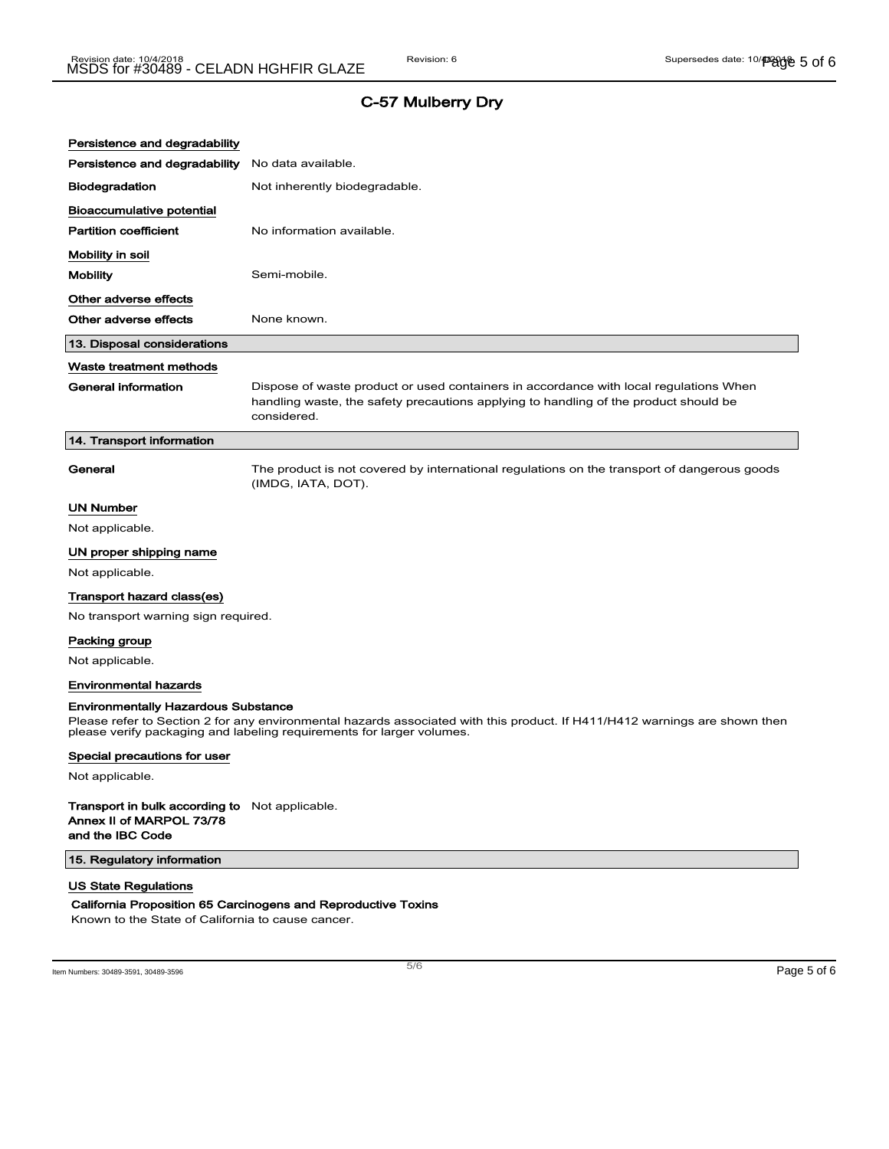| Persistence and degradability                                                                                                                                                                                                                     |                                                                                                                                                                                              |  |
|---------------------------------------------------------------------------------------------------------------------------------------------------------------------------------------------------------------------------------------------------|----------------------------------------------------------------------------------------------------------------------------------------------------------------------------------------------|--|
| Persistence and degradability                                                                                                                                                                                                                     | No data available.                                                                                                                                                                           |  |
| <b>Biodegradation</b>                                                                                                                                                                                                                             | Not inherently biodegradable.                                                                                                                                                                |  |
| Bioaccumulative potential                                                                                                                                                                                                                         |                                                                                                                                                                                              |  |
| <b>Partition coefficient</b>                                                                                                                                                                                                                      | No information available.                                                                                                                                                                    |  |
| Mobility in soil                                                                                                                                                                                                                                  |                                                                                                                                                                                              |  |
| Mobility                                                                                                                                                                                                                                          | Semi-mobile.                                                                                                                                                                                 |  |
| Other adverse effects                                                                                                                                                                                                                             |                                                                                                                                                                                              |  |
| Other adverse effects                                                                                                                                                                                                                             | None known.                                                                                                                                                                                  |  |
| 13. Disposal considerations                                                                                                                                                                                                                       |                                                                                                                                                                                              |  |
| Waste treatment methods                                                                                                                                                                                                                           |                                                                                                                                                                                              |  |
| <b>General information</b>                                                                                                                                                                                                                        | Dispose of waste product or used containers in accordance with local regulations When<br>handling waste, the safety precautions applying to handling of the product should be<br>considered. |  |
| 14. Transport information                                                                                                                                                                                                                         |                                                                                                                                                                                              |  |
| General                                                                                                                                                                                                                                           | The product is not covered by international regulations on the transport of dangerous goods<br>(IMDG, IATA, DOT).                                                                            |  |
| UN Number                                                                                                                                                                                                                                         |                                                                                                                                                                                              |  |
| Not applicable.                                                                                                                                                                                                                                   |                                                                                                                                                                                              |  |
| UN proper shipping name                                                                                                                                                                                                                           |                                                                                                                                                                                              |  |
| Not applicable.                                                                                                                                                                                                                                   |                                                                                                                                                                                              |  |
| Transport hazard class(es)                                                                                                                                                                                                                        |                                                                                                                                                                                              |  |
| No transport warning sign required.                                                                                                                                                                                                               |                                                                                                                                                                                              |  |
| Packing group                                                                                                                                                                                                                                     |                                                                                                                                                                                              |  |
| Not applicable.                                                                                                                                                                                                                                   |                                                                                                                                                                                              |  |
| <b>Environmental hazards</b>                                                                                                                                                                                                                      |                                                                                                                                                                                              |  |
| <b>Environmentally Hazardous Substance</b><br>Please refer to Section 2 for any environmental hazards associated with this product. If H411/H412 warnings are shown then<br>please verify packaging and labeling requirements for larger volumes. |                                                                                                                                                                                              |  |
| Special precautions for user                                                                                                                                                                                                                      |                                                                                                                                                                                              |  |
| Not applicable.                                                                                                                                                                                                                                   |                                                                                                                                                                                              |  |
| Transport in bulk according to Not applicable.<br>Annex II of MARPOL 73/78<br>and the IBC Code                                                                                                                                                    |                                                                                                                                                                                              |  |
| 15. Regulatory information                                                                                                                                                                                                                        |                                                                                                                                                                                              |  |
| <b>US State Regulations</b>                                                                                                                                                                                                                       |                                                                                                                                                                                              |  |
| California Proposition 65 Carcinogens and Reproductive Toxins<br>Known to the State of California to cause cancer.                                                                                                                                |                                                                                                                                                                                              |  |

Item Numbers: 30489-3591, 30489-3596 Page 5 of 6

 $\overline{\phantom{a}}$ 

5/ 6